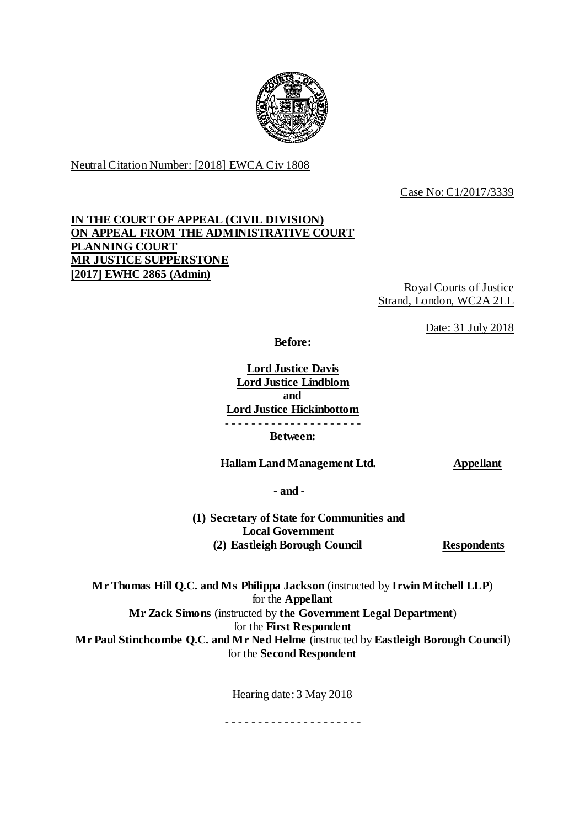

Neutral Citation Number: [2018] EWCA Civ 1808

Case No: C1/2017/3339

# **IN THE COURT OF APPEAL (CIVIL DIVISION) ON APPEAL FROM THE ADMINISTRATIVE COURT PLANNING COURT MR JUSTICE SUPPERSTONE [2017] EWHC 2865 (Admin)**

Royal Courts of Justice Strand, London, WC2A 2LL

Date: 31 July 2018

**Before:**

**Lord Justice Davis Lord Justice Lindblom and Lord Justice Hickinbottom** - - - - - - - - - - - - - - - - - - - - - **Between:**

 **Hallam Land Management Ltd. Appellant** 

**- and -**

**(1) Secretary of State for Communities and Local Government (2) Eastleigh Borough Council Respondents**

**Mr Thomas Hill Q.C. and Ms Philippa Jackson** (instructed by **Irwin Mitchell LLP**) for the **Appellant Mr Zack Simons** (instructed by **the Government Legal Department**) for the **First Respondent Mr Paul Stinchcombe Q.C. and Mr Ned Helme** (instructed by **Eastleigh Borough Council**) for the **Second Respondent**

Hearing date: 3 May 2018

- - - - - - - - - - - - - - - - - - - - -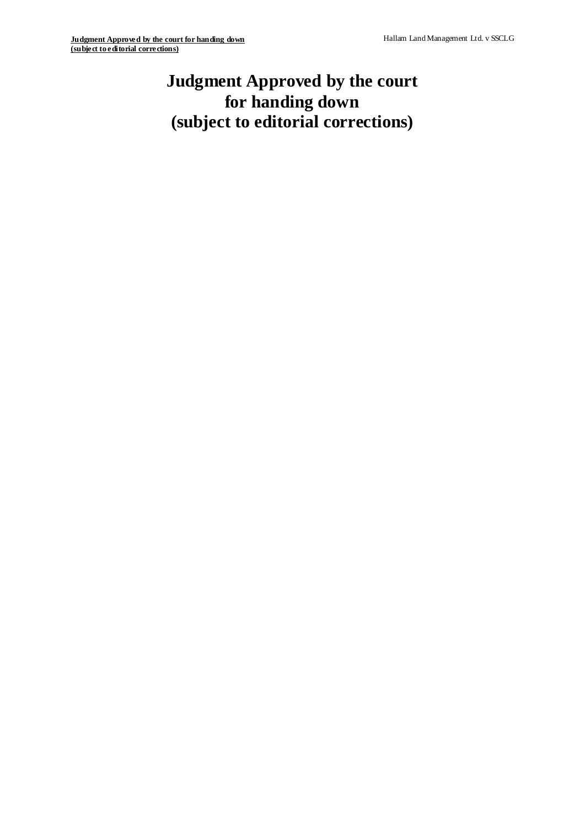# **Judgment Approved by the court for handing down (subject to editorial corrections)**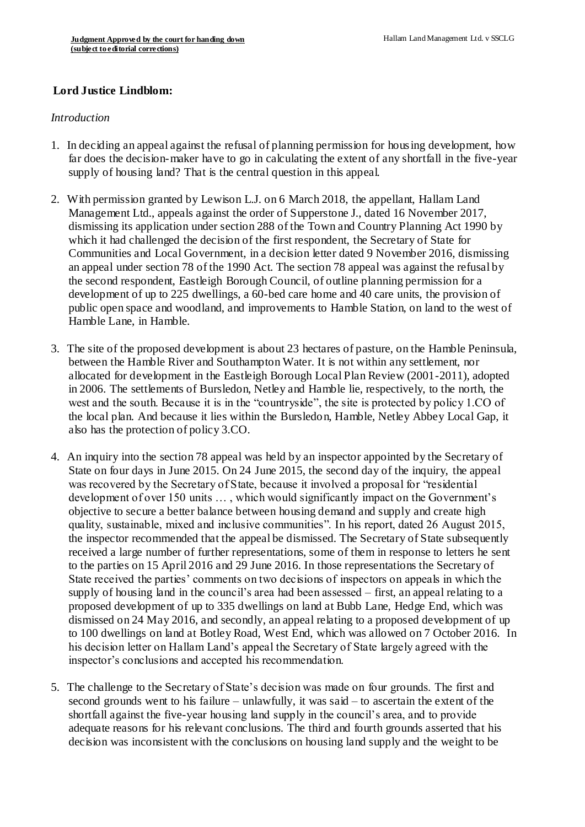## **Lord Justice Lindblom:**

#### *Introduction*

- 1. In deciding an appeal against the refusal of planning permission for housing development, how far does the decision-maker have to go in calculating the extent of any shortfall in the five-year supply of housing land? That is the central question in this appeal.
- 2. With permission granted by Lewison L.J. on 6 March 2018, the appellant, Hallam Land Management Ltd., appeals against the order of Supperstone J., dated 16 November 2017, dismissing its application under section 288 of the Town and Country Planning Act 1990 by which it had challenged the decision of the first respondent, the Secretary of State for Communities and Local Government, in a decision letter dated 9 November 2016, dismissing an appeal under section 78 of the 1990 Act. The section 78 appeal was against the refusal by the second respondent, Eastleigh Borough Council, of outline planning permission for a development of up to 225 dwellings, a 60-bed care home and 40 care units, the provision of public open space and woodland, and improvements to Hamble Station, on land to the west of Hamble Lane, in Hamble.
- 3. The site of the proposed development is about 23 hectares of pasture, on the Hamble Peninsula, between the Hamble River and Southampton Water. It is not within any settlement, nor allocated for development in the Eastleigh Borough Local Plan Review (2001-2011), adopted in 2006. The settlements of Bursledon, Netley and Hamble lie, respectively, to the north, the west and the south. Because it is in the "countryside", the site is protected by policy 1.CO of the local plan. And because it lies within the Bursledon, Hamble, Netley Abbey Local Gap, it also has the protection of policy 3.CO.
- 4. An inquiry into the section 78 appeal was held by an inspector appointed by the Secretary of State on four days in June 2015. On 24 June 2015, the second day of the inquiry, the appeal was recovered by the Secretary of State, because it involved a proposal for "residential development of over 150 units … , which would significantly impact on the Government's objective to secure a better balance between housing demand and supply and create high quality, sustainable, mixed and inclusive communities". In his report, dated 26 August 2015, the inspector recommended that the appeal be dismissed. The Secretary of State subsequently received a large number of further representations, some of them in response to letters he sent to the parties on 15 April 2016 and 29 June 2016. In those representations the Secretary of State received the parties' comments on two decisions of inspectors on appeals in which the supply of housing land in the council's area had been assessed – first, an appeal relating to a proposed development of up to 335 dwellings on land at Bubb Lane, Hedge End, which was dismissed on 24 May 2016, and secondly, an appeal relating to a proposed development of up to 100 dwellings on land at Botley Road, West End, which was allowed on 7 October 2016. In his decision letter on Hallam Land's appeal the Secretary of State largely agreed with the inspector's conclusions and accepted his recommendation.
- 5. The challenge to the Secretary of State's decision was made on four grounds. The first and second grounds went to his failure – unlawfully, it was said – to ascertain the extent of the shortfall against the five-year housing land supply in the council's area, and to provide adequate reasons for his relevant conclusions. The third and fourth grounds asserted that his decision was inconsistent with the conclusions on housing land supply and the weight to be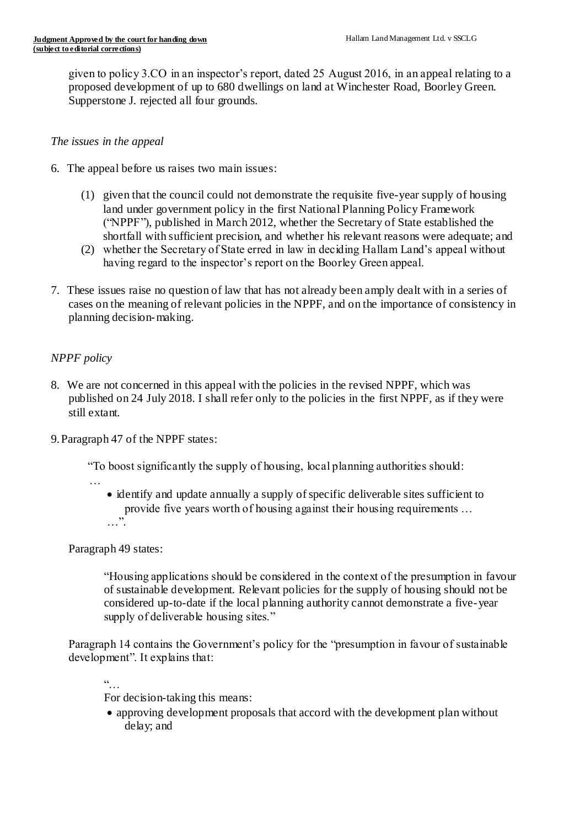given to policy 3.CO in an inspector's report, dated 25 August 2016, in an appeal relating to a proposed development of up to 680 dwellings on land at Winchester Road, Boorley Green. Supperstone J. rejected all four grounds.

#### *The issues in the appeal*

- 6. The appeal before us raises two main issues:
	- (1) given that the council could not demonstrate the requisite five-year supply of housing land under government policy in the first National Planning Policy Framework ("NPPF"), published in March 2012, whether the Secretary of State established the shortfall with sufficient precision, and whether his relevant reasons were adequate; and
	- (2) whether the Secretary of State erred in law in deciding Hallam Land's appeal without having regard to the inspector's report on the Boorley Green appeal.
- 7. These issues raise no question of law that has not already been amply dealt with in a series of cases on the meaning of relevant policies in the NPPF, and on the importance of consistency in planning decision-making.

# *NPPF policy*

- 8. We are not concerned in this appeal with the policies in the revised NPPF, which was published on 24 July 2018. I shall refer only to the policies in the first NPPF, as if they were still extant.
- 9.Paragraph 47 of the NPPF states:

"To boost significantly the supply of housing, local planning authorities should:

 identify and update annually a supply of specific deliverable sites sufficient to provide five years worth of housing against their housing requirements … …".

Paragraph 49 states:

…

"Housing applications should be considered in the context of the presumption in favour of sustainable development. Relevant policies for the supply of housing should not be considered up-to-date if the local planning authority cannot demonstrate a five-year supply of deliverable housing sites."

Paragraph 14 contains the Government's policy for the "presumption in favour of sustainable development". It explains that:

 $\ddot{\cdot}$  . .

For decision-taking this means:

 approving development proposals that accord with the development plan without delay; and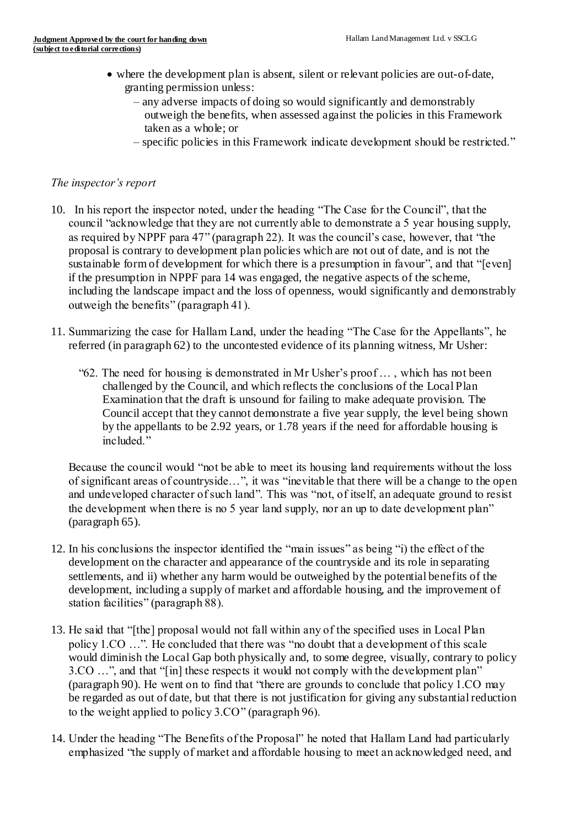- where the development plan is absent, silent or relevant policies are out-of-date, granting permission unless:
	- any adverse impacts of doing so would significantly and demonstrably outweigh the benefits, when assessed against the policies in this Framework taken as a whole; or
	- specific policies in this Framework indicate development should be restricted."

## *The inspector's report*

- 10. In his report the inspector noted, under the heading "The Case for the Council", that the council "acknowledge that they are not currently able to demonstrate a 5 year housing supply, as required by NPPF para 47" (paragraph 22). It was the council's case, however, that "the proposal is contrary to development plan policies which are not out of date, and is not the sustainable form of development for which there is a presumption in favour", and that "[even] if the presumption in NPPF para 14 was engaged, the negative aspects of the scheme, including the landscape impact and the loss of openness, would significantly and demonstrably outweigh the benefits" (paragraph 41).
- 11. Summarizing the case for Hallam Land, under the heading "The Case for the Appellants", he referred (in paragraph 62) to the uncontested evidence of its planning witness, Mr Usher:
	- "62. The need for housing is demonstrated in Mr Usher's proof … , which has not been challenged by the Council, and which reflects the conclusions of the Local Plan Examination that the draft is unsound for failing to make adequate provision. The Council accept that they cannot demonstrate a five year supply, the level being shown by the appellants to be 2.92 years, or 1.78 years if the need for affordable housing is included."

Because the council would "not be able to meet its housing land requirements without the loss of significant areas of countryside…", it was "inevitable that there will be a change to the open and undeveloped character of such land". This was "not, of itself, an adequate ground to resist the development when there is no 5 year land supply, nor an up to date development plan" (paragraph 65).

- 12. In his conclusions the inspector identified the "main issues" as being "i) the effect of the development on the character and appearance of the countryside and its role in separating settlements, and ii) whether any harm would be outweighed by the potential benefits of the development, including a supply of market and affordable housing, and the improvement of station facilities" (paragraph 88).
- 13. He said that "[the] proposal would not fall within any of the specified uses in Local Plan policy 1.CO …". He concluded that there was "no doubt that a development of this scale would diminish the Local Gap both physically and, to some degree, visually, contrary to policy 3.CO …", and that "[in] these respects it would not comply with the development plan" (paragraph 90). He went on to find that "there are grounds to conclude that policy 1.CO may be regarded as out of date, but that there is not justification for giving any substantial reduction to the weight applied to policy 3.CO" (paragraph 96).
- 14. Under the heading "The Benefits of the Proposal" he noted that Hallam Land had particularly emphasized "the supply of market and affordable housing to meet an acknowledged need, and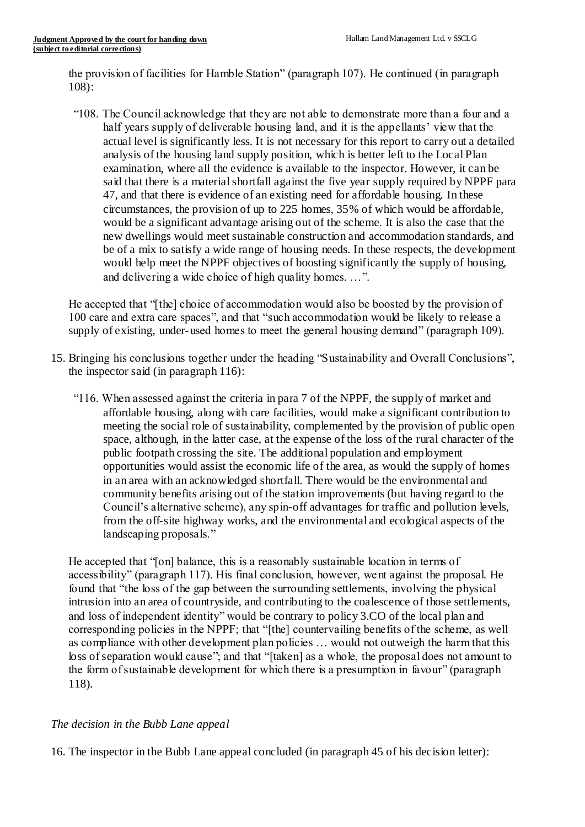the provision of facilities for Hamble Station" (paragraph 107). He continued (in paragraph 108):

 "108. The Council acknowledge that they are not able to demonstrate more than a four and a half years supply of deliverable housing land, and it is the appellants' view that the actual level is significantly less. It is not necessary for this report to carry out a detailed analysis of the housing land supply position, which is better left to the Local Plan examination, where all the evidence is available to the inspector. However, it can be said that there is a material shortfall against the five year supply required by NPPF para 47, and that there is evidence of an existing need for affordable housing. In these circumstances, the provision of up to 225 homes, 35% of which would be affordable, would be a significant advantage arising out of the scheme. It is also the case that the new dwellings would meet sustainable construction and accommodation standards, and be of a mix to satisfy a wide range of housing needs. In these respects, the development would help meet the NPPF objectives of boosting significantly the supply of housing, and delivering a wide choice of high quality homes. …".

He accepted that "[the] choice of accommodation would also be boosted by the provision of 100 care and extra care spaces", and that "such accommodation would be likely to release a supply of existing, under-used homes to meet the general housing demand" (paragraph 109).

- 15. Bringing his conclusions together under the heading "Sustainability and Overall Conclusions", the inspector said (in paragraph 116):
	- "116. When assessed against the criteria in para 7 of the NPPF, the supply of market and affordable housing, along with care facilities, would make a significant contribution to meeting the social role of sustainability, complemented by the provision of public open space, although, in the latter case, at the expense of the loss of the rural character of the public footpath crossing the site. The additional population and employment opportunities would assist the economic life of the area, as would the supply of homes in an area with an acknowledged shortfall. There would be the environmental and community benefits arising out of the station improvements (but having regard to the Council's alternative scheme), any spin-off advantages for traffic and pollution levels, from the off-site highway works, and the environmental and ecological aspects of the landscaping proposals."

He accepted that "[on] balance, this is a reasonably sustainable location in terms of accessibility" (paragraph 117). His final conclusion, however, went against the proposal. He found that "the loss of the gap between the surrounding settlements, involving the physical intrusion into an area of countryside, and contributing to the coalescence of those settlements, and loss of independent identity" would be contrary to policy 3.CO of the local plan and corresponding policies in the NPPF; that "[the] countervailing benefits of the scheme, as well as compliance with other development plan policies … would not outweigh the harm that this loss of separation would cause"; and that "[taken] as a whole, the proposal does not amount to the form of sustainable development for which there is a presumption in favour" (paragraph 118).

## *The decision in the Bubb Lane appeal*

16. The inspector in the Bubb Lane appeal concluded (in paragraph 45 of his decision letter):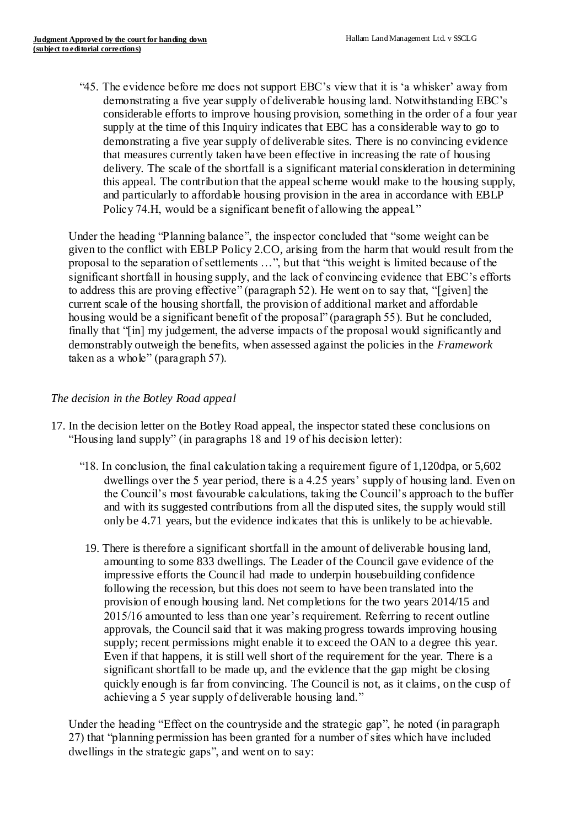"45. The evidence before me does not support EBC's view that it is 'a whisker' away from demonstrating a five year supply of deliverable housing land. Notwithstanding EBC's considerable efforts to improve housing provision, something in the order of a four year supply at the time of this Inquiry indicates that EBC has a considerable way to go to demonstrating a five year supply of deliverable sites. There is no convincing evidence that measures currently taken have been effective in increasing the rate of housing delivery. The scale of the shortfall is a significant material consideration in determining this appeal. The contribution that the appeal scheme would make to the housing supply, and particularly to affordable housing provision in the area in accordance with EBLP Policy 74.H, would be a significant benefit of allowing the appeal."

Under the heading "Planning balance", the inspector concluded that "some weight can be given to the conflict with EBLP Policy 2.CO, arising from the harm that would result from the proposal to the separation of settlements …", but that "this weight is limited because of the significant shortfall in housing supply, and the lack of convincing evidence that EBC's efforts to address this are proving effective" (paragraph 52). He went on to say that, "[given] the current scale of the housing shortfall, the provision of additional market and affordable housing would be a significant benefit of the proposal" (paragraph 55). But he concluded, finally that "[in] my judgement, the adverse impacts of the proposal would significantly and demonstrably outweigh the benefits, when assessed against the policies in the *Framework* taken as a whole" (paragraph 57).

# *The decision in the Botley Road appeal*

- 17. In the decision letter on the Botley Road appeal, the inspector stated these conclusions on "Housing land supply" (in paragraphs 18 and 19 of his decision letter):
	- "18. In conclusion, the final calculation taking a requirement figure of 1,120dpa, or 5,602 dwellings over the 5 year period, there is a 4.25 years' supply of housing land. Even on the Council's most favourable calculations, taking the Council's approach to the buffer and with its suggested contributions from all the disputed sites, the supply would still only be 4.71 years, but the evidence indicates that this is unlikely to be achievable.
		- 19. There is therefore a significant shortfall in the amount of deliverable housing land, amounting to some 833 dwellings. The Leader of the Council gave evidence of the impressive efforts the Council had made to underpin housebuilding confidence following the recession, but this does not seem to have been translated into the provision of enough housing land. Net completions for the two years 2014/15 and 2015/16 amounted to less than one year's requirement. Referring to recent outline approvals, the Council said that it was making progress towards improving housing supply; recent permissions might enable it to exceed the OAN to a degree this year. Even if that happens, it is still well short of the requirement for the year. There is a significant shortfall to be made up, and the evidence that the gap might be closing quickly enough is far from convincing. The Council is not, as it claims, on the cusp of achieving a 5 year supply of deliverable housing land."

Under the heading "Effect on the countryside and the strategic gap", he noted (in paragraph 27) that "planning permission has been granted for a number of sites which have included dwellings in the strategic gaps", and went on to say: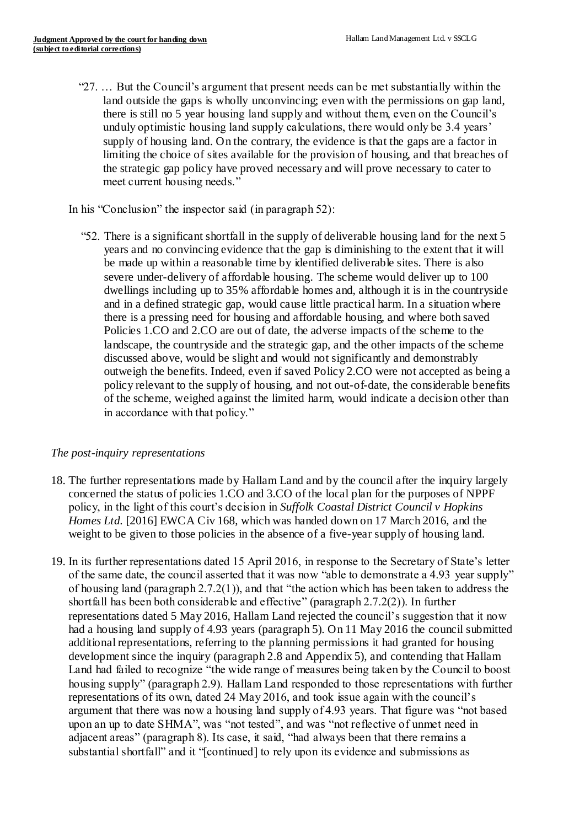"27. … But the Council's argument that present needs can be met substantially within the land outside the gaps is wholly unconvincing; even with the permissions on gap land, there is still no 5 year housing land supply and without them, even on the Council's unduly optimistic housing land supply calculations, there would only be 3.4 years' supply of housing land. On the contrary, the evidence is that the gaps are a factor in limiting the choice of sites available for the provision of housing, and that breaches of the strategic gap policy have proved necessary and will prove necessary to cater to meet current housing needs."

## In his "Conclusion" the inspector said (in paragraph 52):

 "52. There is a significant shortfall in the supply of deliverable housing land for the next 5 years and no convincing evidence that the gap is diminishing to the extent that it will be made up within a reasonable time by identified deliverable sites. There is also severe under-delivery of affordable housing. The scheme would deliver up to 100 dwellings including up to 35% affordable homes and, although it is in the countryside and in a defined strategic gap, would cause little practical harm. In a situation where there is a pressing need for housing and affordable housing, and where both saved Policies 1.CO and 2.CO are out of date, the adverse impacts of the scheme to the landscape, the countryside and the strategic gap, and the other impacts of the scheme discussed above, would be slight and would not significantly and demonstrably outweigh the benefits. Indeed, even if saved Policy 2.CO were not accepted as being a policy relevant to the supply of housing, and not out-of-date, the considerable benefits of the scheme, weighed against the limited harm, would indicate a decision other than in accordance with that policy."

#### *The post-inquiry representations*

- 18. The further representations made by Hallam Land and by the council after the inquiry largely concerned the status of policies 1.CO and 3.CO of the local plan for the purposes of NPPF policy, in the light of this court's decision in *Suffolk Coastal District Council v Hopkins Homes Ltd.* [2016] EWCA Civ 168, which was handed down on 17 March 2016, and the weight to be given to those policies in the absence of a five-year supply of housing land.
- 19. In its further representations dated 15 April 2016, in response to the Secretary of State's letter of the same date, the council asserted that it was now "able to demonstrate a 4.93 year supply" of housing land (paragraph 2.7.2(1)), and that "the action which has been taken to address the shortfall has been both considerable and effective" (paragraph 2.7.2(2)). In further representations dated 5 May 2016, Hallam Land rejected the council's suggestion that it now had a housing land supply of 4.93 years (paragraph 5). On 11 May 2016 the council submitted additional representations, referring to the planning permissions it had granted for housing development since the inquiry (paragraph 2.8 and Appendix 5), and contending that Hallam Land had failed to recognize "the wide range of measures being taken by the Council to boost housing supply" (paragraph 2.9). Hallam Land responded to those representations with further representations of its own, dated 24 May 2016, and took issue again with the council's argument that there was now a housing land supply of 4.93 years. That figure was "not based upon an up to date SHMA", was "not tested", and was "not reflective of unmet need in adjacent areas" (paragraph 8). Its case, it said, "had always been that there remains a substantial shortfall" and it "[continued] to rely upon its evidence and submissions as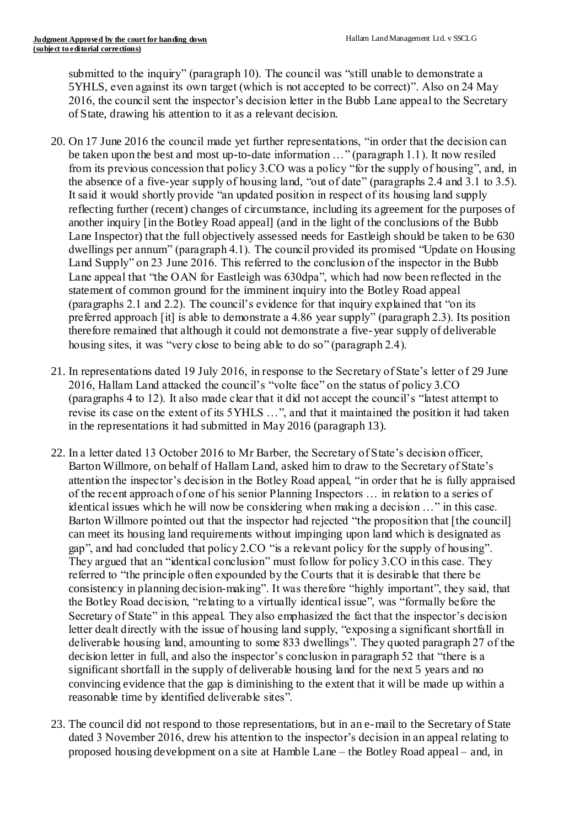submitted to the inquiry" (paragraph 10). The council was "still unable to demonstrate a 5YHLS, even against its own target (which is not accepted to be correct)". Also on 24 May 2016, the council sent the inspector's decision letter in the Bubb Lane appeal to the Secretary of State, drawing his attention to it as a relevant decision.

- 20. On 17 June 2016 the council made yet further representations, "in order that the decision can be taken upon the best and most up-to-date information …" (paragraph 1.1). It now resiled from its previous concession that policy 3.CO was a policy "for the supply of housing", and, in the absence of a five-year supply of housing land, "out of date" (paragraphs 2.4 and 3.1 to 3.5). It said it would shortly provide "an updated position in respect of its housing land supply reflecting further (recent) changes of circumstance, including its agreement for the purposes of another inquiry [in the Botley Road appeal] (and in the light of the conclusions of the Bubb Lane Inspector) that the full objectively assessed needs for Eastleigh should be taken to be 630 dwellings per annum" (paragraph 4.1). The council provided its promised "Update on Housing Land Supply" on 23 June 2016. This referred to the conclusion of the inspector in the Bubb Lane appeal that "the OAN for Eastleigh was 630dpa", which had now been reflected in the statement of common ground for the imminent inquiry into the Botley Road appeal (paragraphs 2.1 and 2.2). The council's evidence for that inquiry explained that "on its preferred approach [it] is able to demonstrate a 4.86 year supply" (paragraph 2.3). Its position therefore remained that although it could not demonstrate a five-year supply of deliverable housing sites, it was "very close to being able to do so" (paragraph 2.4).
- 21. In representations dated 19 July 2016, in response to the Secretary of State's letter o f 29 June 2016, Hallam Land attacked the council's "volte face" on the status of policy 3.CO (paragraphs 4 to 12). It also made clear that it did not accept the council's "latest attempt to revise its case on the extent of its 5YHLS …", and that it maintained the position it had taken in the representations it had submitted in May 2016 (paragraph 13).
- 22. In a letter dated 13 October 2016 to Mr Barber, the Secretary of State's decision officer, Barton Willmore, on behalf of Hallam Land, asked him to draw to the Secretary of State's attention the inspector's decision in the Botley Road appeal, "in order that he is fully appraised of the recent approach of one of his senior Planning Inspectors … in relation to a series of identical issues which he will now be considering when making a decision …" in this case. Barton Willmore pointed out that the inspector had rejected "the proposition that [the council] can meet its housing land requirements without impinging upon land which is designated as gap", and had concluded that policy 2.CO "is a relevant policy for the supply of housing". They argued that an "identical conclusion" must follow for policy 3.CO in this case. They referred to "the principle often expounded by the Courts that it is desirable that there be consistency in planning decision-making". It was therefore "highly important", they said, that the Botley Road decision, "relating to a virtually identical issue", was "formally before the Secretary of State" in this appeal. They also emphasized the fact that the inspector's decision letter dealt directly with the issue of housing land supply, "exposing a significant shortfall in deliverable housing land, amounting to some 833 dwellings". They quoted paragraph 27 of the decision letter in full, and also the inspector's conclusion in paragraph 52 that "there is a significant shortfall in the supply of deliverable housing land for the next 5 years and no convincing evidence that the gap is diminishing to the extent that it will be made up within a reasonable time by identified deliverable sites".
- 23. The council did not respond to those representations, but in an e-mail to the Secretary of State dated 3 November 2016, drew his attention to the inspector's decision in an appeal relating to proposed housing development on a site at Hamble Lane – the Botley Road appeal – and, in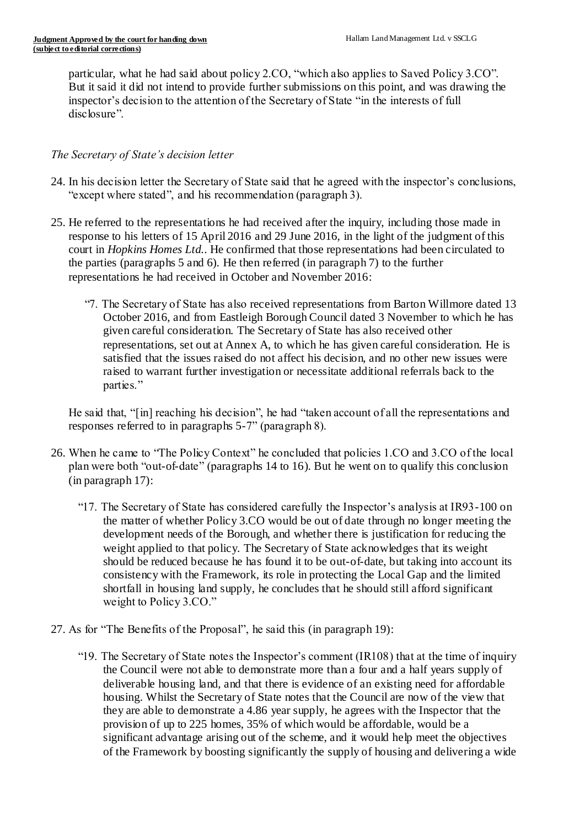particular, what he had said about policy 2.CO, "which also applies to Saved Policy 3.CO". But it said it did not intend to provide further submissions on this point, and was drawing the inspector's decision to the attention of the Secretary of State "in the interests of full disclosure".

#### *The Secretary of State's decision letter*

- 24. In his decision letter the Secretary of State said that he agreed with the inspector's conclusions, "except where stated", and his recommendation (paragraph 3).
- 25. He referred to the representations he had received after the inquiry, including those made in response to his letters of 15 April 2016 and 29 June 2016, in the light of the judgment of this court in *Hopkins Homes Ltd.*. He confirmed that those representations had been circulated to the parties (paragraphs 5 and 6). He then referred (in paragraph 7) to the further representations he had received in October and November 2016:
	- "7. The Secretary of State has also received representations from Barton Willmore dated 13 October 2016, and from Eastleigh Borough Council dated 3 November to which he has given careful consideration. The Secretary of State has also received other representations, set out at Annex A, to which he has given careful consideration. He is satisfied that the issues raised do not affect his decision, and no other new issues were raised to warrant further investigation or necessitate additional referrals back to the parties."

He said that, "[in] reaching his decision", he had "taken account of all the representations and responses referred to in paragraphs 5-7" (paragraph 8).

- 26. When he came to "The Policy Context" he concluded that policies 1.CO and 3.CO of the local plan were both "out-of-date" (paragraphs 14 to 16). But he went on to qualify this conclusion (in paragraph 17):
	- "17. The Secretary of State has considered carefully the Inspector's analysis at IR93-100 on the matter of whether Policy 3.CO would be out of date through no longer meeting the development needs of the Borough, and whether there is justification for reducing the weight applied to that policy. The Secretary of State acknowledges that its weight should be reduced because he has found it to be out-of-date, but taking into account its consistency with the Framework, its role in protecting the Local Gap and the limited shortfall in housing land supply, he concludes that he should still afford significant weight to Policy 3.CO."
- 27. As for "The Benefits of the Proposal", he said this (in paragraph 19):
	- "19. The Secretary of State notes the Inspector's comment (IR108) that at the time of inquiry the Council were not able to demonstrate more than a four and a half years supply of deliverable housing land, and that there is evidence of an existing need for affordable housing. Whilst the Secretary of State notes that the Council are now of the view that they are able to demonstrate a 4.86 year supply, he agrees with the Inspector that the provision of up to 225 homes, 35% of which would be affordable, would be a significant advantage arising out of the scheme, and it would help meet the objectives of the Framework by boosting significantly the supply of housing and delivering a wide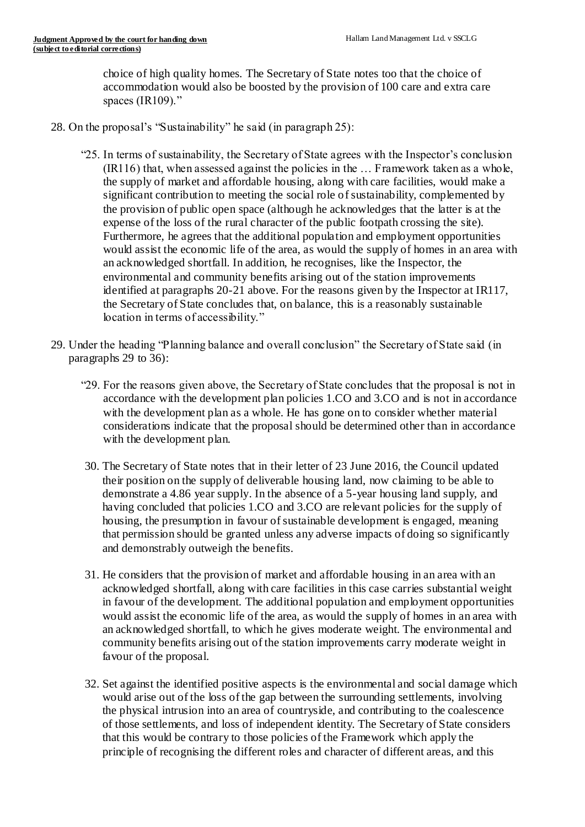choice of high quality homes. The Secretary of State notes too that the choice of accommodation would also be boosted by the provision of 100 care and extra care spaces (IR109)."

- 28. On the proposal's "Sustainability" he said (in paragraph 25):
	- "25. In terms of sustainability, the Secretary of State agrees with the Inspector's conclusion (IR116) that, when assessed against the policies in the … Framework taken as a whole, the supply of market and affordable housing, along with care facilities, would make a significant contribution to meeting the social role of sustainability, complemented by the provision of public open space (although he acknowledges that the latter is at the expense of the loss of the rural character of the public footpath crossing the site). Furthermore, he agrees that the additional population and employment opportunities would assist the economic life of the area, as would the supply of homes in an area with an acknowledged shortfall. In addition, he recognises, like the Inspector, the environmental and community benefits arising out of the station improvements identified at paragraphs 20-21 above. For the reasons given by the Inspector at IR117, the Secretary of State concludes that, on balance, this is a reasonably sustainable location in terms of accessibility."
- 29. Under the heading "Planning balance and overall conclusion" the Secretary of State said (in paragraphs 29 to 36):
	- "29. For the reasons given above, the Secretary of State concludes that the proposal is not in accordance with the development plan policies 1.CO and 3.CO and is not in accordance with the development plan as a whole. He has gone on to consider whether material considerations indicate that the proposal should be determined other than in accordance with the development plan.
	- 30. The Secretary of State notes that in their letter of 23 June 2016, the Council updated their position on the supply of deliverable housing land, now claiming to be able to demonstrate a 4.86 year supply. In the absence of a 5-year housing land supply, and having concluded that policies 1.CO and 3.CO are relevant policies for the supply of housing, the presumption in favour of sustainable development is engaged, meaning that permission should be granted unless any adverse impacts of doing so significantly and demonstrably outweigh the benefits.
	- 31. He considers that the provision of market and affordable housing in an area with an acknowledged shortfall, along with care facilities in this case carries substantial weight in favour of the development. The additional population and employment opportunities would assist the economic life of the area, as would the supply of homes in an area with an acknowledged shortfall, to which he gives moderate weight. The environmental and community benefits arising out of the station improvements carry moderate weight in favour of the proposal.
	- 32. Set against the identified positive aspects is the environmental and social damage which would arise out of the loss of the gap between the surrounding settlements, involving the physical intrusion into an area of countryside, and contributing to the coalescence of those settlements, and loss of independent identity. The Secretary of State considers that this would be contrary to those policies of the Framework which apply the principle of recognising the different roles and character of different areas, and this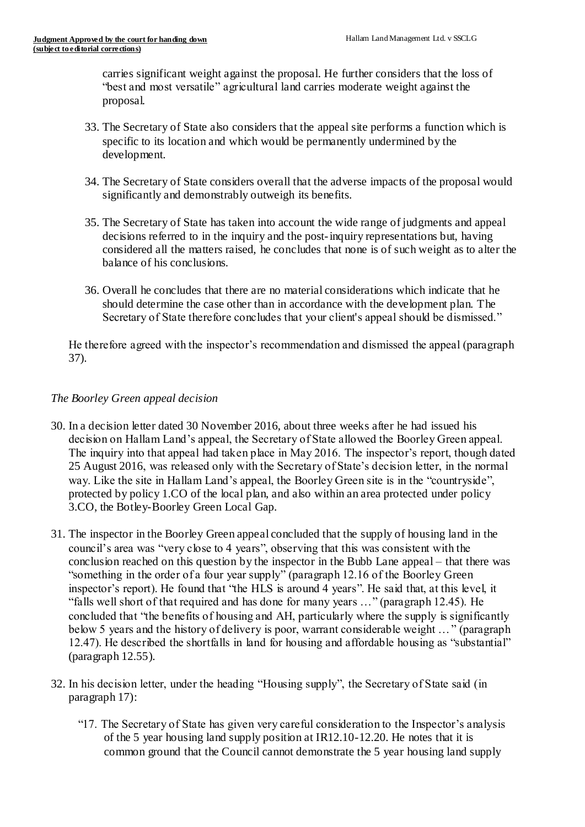carries significant weight against the proposal. He further considers that the loss of "best and most versatile" agricultural land carries moderate weight against the proposal.

- 33. The Secretary of State also considers that the appeal site performs a function which is specific to its location and which would be permanently undermined by the development.
- 34. The Secretary of State considers overall that the adverse impacts of the proposal would significantly and demonstrably outweigh its benefits.
- 35. The Secretary of State has taken into account the wide range of judgments and appeal decisions referred to in the inquiry and the post-inquiry representations but, having considered all the matters raised, he concludes that none is of such weight as to alter the balance of his conclusions.
- 36. Overall he concludes that there are no material considerations which indicate that he should determine the case other than in accordance with the development plan. The Secretary of State therefore concludes that your client's appeal should be dismissed."

He therefore agreed with the inspector's recommendation and dismissed the appeal (paragraph 37).

## *The Boorley Green appeal decision*

- 30. In a decision letter dated 30 November 2016, about three weeks after he had issued his decision on Hallam Land's appeal, the Secretary of State allowed the Boorley Green appeal. The inquiry into that appeal had taken place in May 2016. The inspector's report, though dated 25 August 2016, was released only with the Secretary of State's decision letter, in the normal way. Like the site in Hallam Land's appeal, the Boorley Green site is in the "countryside", protected by policy 1.CO of the local plan, and also within an area protected under policy 3.CO, the Botley-Boorley Green Local Gap.
- 31. The inspector in the Boorley Green appeal concluded that the supply of housing land in the council's area was "very close to 4 years", observing that this was consistent with the conclusion reached on this question by the inspector in the Bubb Lane appeal – that there was "something in the order of a four year supply" (paragraph 12.16 of the Boorley Green inspector's report). He found that "the HLS is around 4 years". He said that, at this level, it "falls well short of that required and has done for many years …" (paragraph 12.45). He concluded that "the benefits of housing and AH, particularly where the supply is significantly below 5 years and the history of delivery is poor, warrant considerable weight …" (paragraph 12.47). He described the shortfalls in land for housing and affordable housing as "substantial" (paragraph 12.55).
- 32. In his decision letter, under the heading "Housing supply", the Secretary of State said (in paragraph 17):
	- "17. The Secretary of State has given very careful consideration to the Inspector's analysis of the 5 year housing land supply position at IR12.10-12.20. He notes that it is common ground that the Council cannot demonstrate the 5 year housing land supply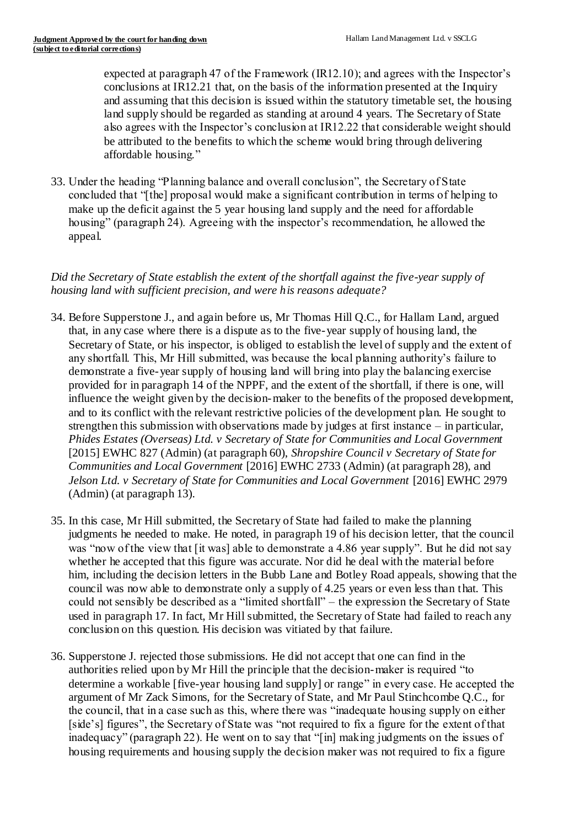expected at paragraph 47 of the Framework (IR12.10); and agrees with the Inspector's conclusions at IR12.21 that, on the basis of the information presented at the Inquiry and assuming that this decision is issued within the statutory timetable set, the housing land supply should be regarded as standing at around 4 years. The Secretary of State also agrees with the Inspector's conclusion at IR12.22 that considerable weight should be attributed to the benefits to which the scheme would bring through delivering affordable housing."

33. Under the heading "Planning balance and overall conclusion", the Secretary of State concluded that "[the] proposal would make a significant contribution in terms of helping to make up the deficit against the 5 year housing land supply and the need for affordable housing" (paragraph 24). Agreeing with the inspector's recommendation, he allowed the appeal.

## *Did the Secretary of State establish the extent of the shortfall against the five-year supply of housing land with sufficient precision, and were his reasons adequate?*

- 34. Before Supperstone J., and again before us, Mr Thomas Hill Q.C., for Hallam Land, argued that, in any case where there is a dispute as to the five-year supply of housing land, the Secretary of State, or his inspector, is obliged to establish the level of supply and the extent of any shortfall. This, Mr Hill submitted, was because the local planning authority's failure to demonstrate a five-year supply of housing land will bring into play the balancing exercise provided for in paragraph 14 of the NPPF, and the extent of the shortfall, if there is one, will influence the weight given by the decision-maker to the benefits of the proposed development, and to its conflict with the relevant restrictive policies of the development plan. He sought to strengthen this submission with observations made by judges at first instance – in particular, *Phides Estates (Overseas) Ltd. v Secretary of State for Communities and Local Government* [2015] EWHC 827 (Admin) (at paragraph 60), *Shropshire Council v Secretary of State for Communities and Local Government* [2016] EWHC 2733 (Admin) (at paragraph 28), and *Jelson Ltd. v Secretary of State for Communities and Local Government* [2016] EWHC 2979 (Admin) (at paragraph 13).
- 35. In this case, Mr Hill submitted, the Secretary of State had failed to make the planning judgments he needed to make. He noted, in paragraph 19 of his decision letter, that the council was "now of the view that [it was] able to demonstrate a 4.86 year supply". But he did not say whether he accepted that this figure was accurate. Nor did he deal with the material before him, including the decision letters in the Bubb Lane and Botley Road appeals, showing that the council was now able to demonstrate only a supply of 4.25 years or even less than that. This could not sensibly be described as a "limited shortfall" – the expression the Secretary of State used in paragraph 17. In fact, Mr Hill submitted, the Secretary of State had failed to reach any conclusion on this question. His decision was vitiated by that failure.
- 36. Supperstone J. rejected those submissions. He did not accept that one can find in the authorities relied upon by Mr Hill the principle that the decision-maker is required "to determine a workable [five-year housing land supply] or range" in every case. He accepted the argument of Mr Zack Simons, for the Secretary of State, and Mr Paul Stinchcombe Q.C., for the council, that in a case such as this, where there was "inadequate housing supply on either [side's] figures", the Secretary of State was "not required to fix a figure for the extent of that inadequacy" (paragraph 22). He went on to say that "[in] making judgments on the issues of housing requirements and housing supply the decision maker was not required to fix a figure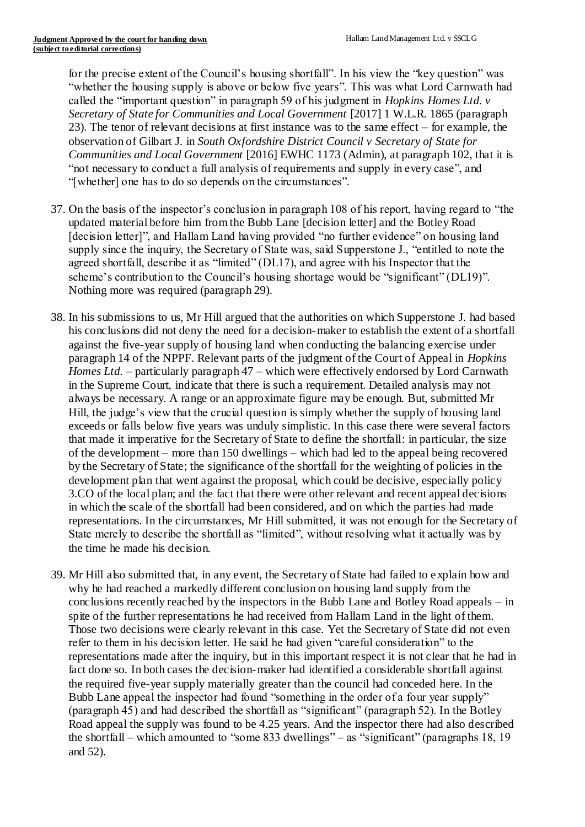for the precise extent of the Council's housing shortfall". In his view the "key question" was "whether the housing supply is above or below five years". This was what Lord Carnwath had called the "important question" in paragraph 59 of his judgment in *Hopkins Homes Ltd. v Secretary of State for Communities and Local Government* [2017] 1 W.L.R. 1865 (paragraph 23). The tenor of relevant decisions at first instance was to the same effect – for example, the observation of Gilbart J. in *South Oxfordshire District Council v Secretary of State for Communities and Local Government* [2016] EWHC 1173 (Admin), at paragraph 102, that it is "not necessary to conduct a full analysis of requirements and supply in every case", and "[whether] one has to do so depends on the circumstances".

- 37. On the basis of the inspector's conclusion in paragraph 108 of his report, having regard to "the updated material before him from the Bubb Lane [decision letter] and the Botley Road [decision letter]", and Hallam Land having provided "no further evidence" on housing land supply since the inquiry, the Secretary of State was, said Supperstone J., "entitled to note the agreed shortfall, describe it as "limited" (DL17), and agree with his Inspector that the scheme's contribution to the Council's housing shortage would be "significant" (DL19)". Nothing more was required (paragraph 29).
- 38. In his submissions to us, Mr Hill argued that the authorities on which Supperstone J. had based his conclusions did not deny the need for a decision-maker to establish the extent of a shortfall against the five-year supply of housing land when conducting the balancing exercise under paragraph 14 of the NPPF. Relevant parts of the judgment of the Court of Appeal in *Hopkins Homes Ltd.* – particularly paragraph 47 – which were effectively endorsed by Lord Carnwath in the Supreme Court, indicate that there is such a requirement. Detailed analysis may not always be necessary. A range or an approximate figure may be enough. But, submitted Mr Hill, the judge's view that the crucial question is simply whether the supply of housing land exceeds or falls below five years was unduly simplistic. In this case there were several factors that made it imperative for the Secretary of State to define the shortfall: in particular, the size of the development – more than 150 dwellings – which had led to the appeal being recovered by the Secretary of State; the significance of the shortfall for the weighting of policies in the development plan that went against the proposal, which could be decisive, especially policy 3.CO of the local plan; and the fact that there were other relevant and recent appeal decisions in which the scale of the shortfall had been considered, and on which the parties had made representations. In the circumstances, Mr Hill submitted, it was not enough for the Secretary of State merely to describe the shortfall as "limited", without resolving what it actually was by the time he made his decision.
- 39. Mr Hill also submitted that, in any event, the Secretary of State had failed to explain how and why he had reached a markedly different conclusion on housing land supply from the conclusions recently reached by the inspectors in the Bubb Lane and Botley Road appeals – in spite of the further representations he had received from Hallam Land in the light of them. Those two decisions were clearly relevant in this case. Yet the Secretary of State did not even refer to them in his decision letter. He said he had given "careful consideration" to the representations made after the inquiry, but in this important respect it is not clear that he had in fact done so. In both cases the decision-maker had identified a considerable shortfall against the required five-year supply materially greater than the council had conceded here. In the Bubb Lane appeal the inspector had found "something in the order of a four year supply" (paragraph 45) and had described the shortfall as "significant" (paragraph 52). In the Botley Road appeal the supply was found to be 4.25 years. And the inspector there had also described the shortfall – which amounted to "some 833 dwellings" – as "significant" (paragraphs 18, 19 and 52).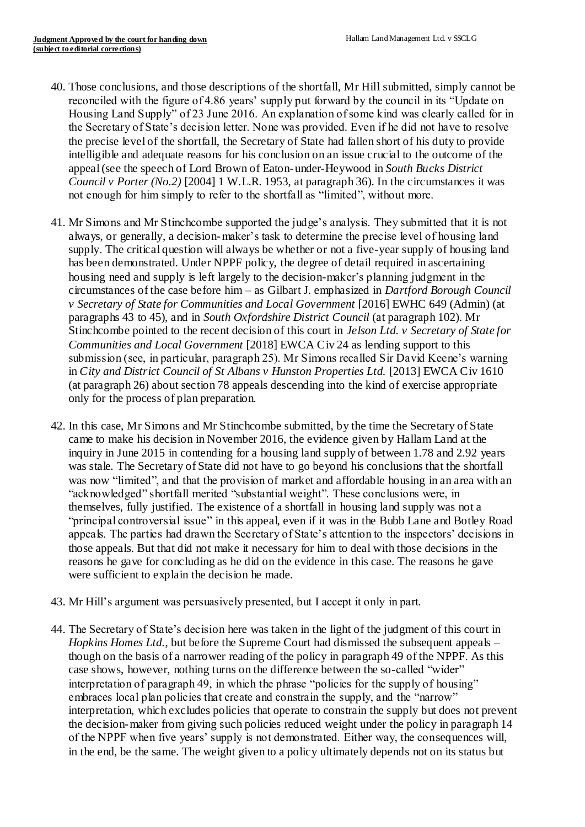- 40. Those conclusions, and those descriptions of the shortfall, Mr Hill submitted, simply cannot be reconciled with the figure of 4.86 years' supply put forward by the council in its "Update on Housing Land Supply" of 23 June 2016. An explanation of some kind was clearly called for in the Secretary of State's decision letter. None was provided. Even if he did not have to resolve the precise level of the shortfall, the Secretary of State had fallen short of his duty to provide intelligible and adequate reasons for his conclusion on an issue crucial to the outcome of the appeal (see the speech of Lord Brown of Eaton-under-Heywood in *South Bucks District Council v Porter (No.2)* [2004] 1 W.L.R. 1953, at paragraph 36). In the circumstances it was not enough for him simply to refer to the shortfall as "limited", without more.
- 41. Mr Simons and Mr Stinchcombe supported the judge's analysis. They submitted that it is not always, or generally, a decision-maker's task to determine the precise level of housing land supply. The critical question will always be whether or not a five-year supply of housing land has been demonstrated. Under NPPF policy, the degree of detail required in ascertaining housing need and supply is left largely to the decision-maker's planning judgment in the circumstances of the case before him – as Gilbart J. emphasized in *Dartford Borough Council v Secretary of State for Communities and Local Government* [2016] EWHC 649 (Admin) (at paragraphs 43 to 45), and in *South Oxfordshire District Council* (at paragraph 102). Mr Stinchcombe pointed to the recent decision of this court in *Jelson Ltd. v Secretary of State for Communities and Local Government* [2018] EWCA Civ 24 as lending support to this submission (see, in particular, paragraph 25). Mr Simons recalled Sir David Keene's warning in *City and District Council of St Albans v Hunston Properties Ltd.* [2013] EWCA Civ 1610 (at paragraph 26) about section 78 appeals descending into the kind of exercise appropriate only for the process of plan preparation.
- 42. In this case, Mr Simons and Mr Stinchcombe submitted, by the time the Secretary of State came to make his decision in November 2016, the evidence given by Hallam Land at the inquiry in June 2015 in contending for a housing land supply of between 1.78 and 2.92 years was stale. The Secretary of State did not have to go beyond his conclusions that the shortfall was now "limited", and that the provision of market and affordable housing in an area with an "acknowledged" shortfall merited "substantial weight". These conclusions were, in themselves, fully justified. The existence of a shortfall in housing land supply was not a "principal controversial issue" in this appeal, even if it was in the Bubb Lane and Botley Road appeals. The parties had drawn the Secretary of State's attention to the inspectors' decisions in those appeals. But that did not make it necessary for him to deal with those decisions in the reasons he gave for concluding as he did on the evidence in this case. The reasons he gave were sufficient to explain the decision he made.
- 43. Mr Hill's argument was persuasively presented, but I accept it only in part.
- 44. The Secretary of State's decision here was taken in the light of the judgment of this court in *Hopkins Homes Ltd.*, but before the Supreme Court had dismissed the subsequent appeals – though on the basis of a narrower reading of the policy in paragraph 49 of the NPPF. As this case shows, however, nothing turns on the difference between the so-called "wider" interpretation of paragraph 49, in which the phrase "policies for the supply of housing" embraces local plan policies that create and constrain the supply, and the "narrow" interpretation, which excludes policies that operate to constrain the supply but does not prevent the decision-maker from giving such policies reduced weight under the policy in paragraph 14 of the NPPF when five years' supply is not demonstrated. Either way, the consequences will, in the end, be the same. The weight given to a policy ultimately depends not on its status but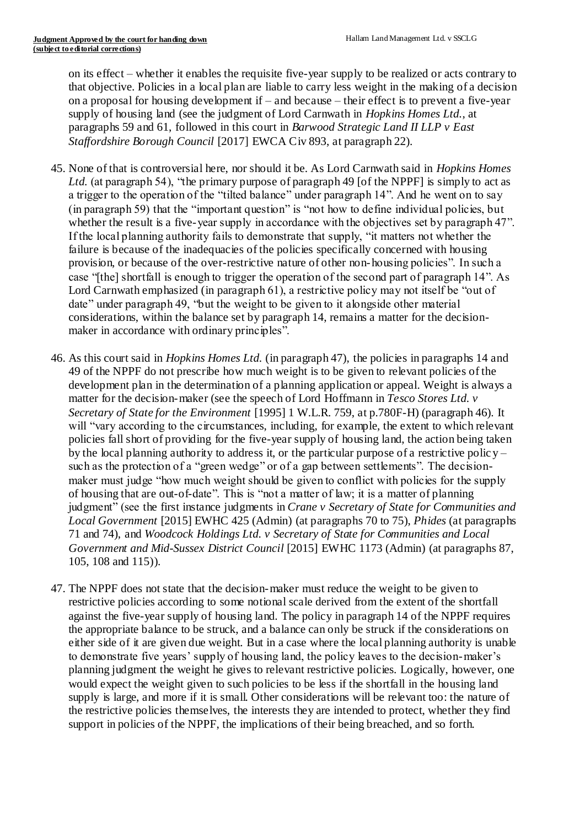on its effect – whether it enables the requisite five-year supply to be realized or acts contrary to that objective. Policies in a local plan are liable to carry less weight in the making of a decision on a proposal for housing development if – and because – their effect is to prevent a five-year supply of housing land (see the judgment of Lord Carnwath in *Hopkins Homes Ltd.*, at paragraphs 59 and 61, followed in this court in *Barwood Strategic Land II LLP v East Staffordshire Borough Council* [2017] EWCA Civ 893, at paragraph 22).

- 45. None of that is controversial here, nor should it be. As Lord Carnwath said in *Hopkins Homes Ltd.* (at paragraph 54), "the primary purpose of paragraph 49 [of the NPPF] is simply to act as a trigger to the operation of the "tilted balance" under paragraph 14". And he went on to say (in paragraph 59) that the "important question" is "not how to define individual policies, but whether the result is a five-year supply in accordance with the objectives set by paragraph 47". If the local planning authority fails to demonstrate that supply, "it matters not whether the failure is because of the inadequacies of the policies specifically concerned with housing provision, or because of the over-restrictive nature of other non-housing policies". In such a case "[the] shortfall is enough to trigger the operation of the second part of paragraph 14". As Lord Carnwath emphasized (in paragraph 61), a restrictive policy may not itself be "out of date" under paragraph 49, "but the weight to be given to it alongside other material considerations, within the balance set by paragraph 14, remains a matter for the decisionmaker in accordance with ordinary principles".
- 46. As this court said in *Hopkins Homes Ltd.* (in paragraph 47), the policies in paragraphs 14 and 49 of the NPPF do not prescribe how much weight is to be given to relevant policies of the development plan in the determination of a planning application or appeal. Weight is always a matter for the decision-maker (see the speech of Lord Hoffmann in *Tesco Stores Ltd. v Secretary of State for the Environment* [1995] 1 W.L.R. 759, at p.780F-H) (paragraph 46). It will "vary according to the circumstances, including, for example, the extent to which relevant policies fall short of providing for the five-year supply of housing land, the action being taken by the local planning authority to address it, or the particular purpose of a restrictive polic y – such as the protection of a "green wedge" or of a gap between settlements". The decisionmaker must judge "how much weight should be given to conflict with policies for the supply of housing that are out-of-date". This is "not a matter of law; it is a matter of planning judgment" (see the first instance judgments in *Crane v Secretary of State for Communities and Local Government* [2015] EWHC 425 (Admin) (at paragraphs 70 to 75), *Phides* (at paragraphs 71 and 74), and *Woodcock Holdings Ltd. v Secretary of State for Communities and Local Government and Mid-Sussex District Council* [2015] EWHC 1173 (Admin) (at paragraphs 87, 105, 108 and 115)).
- 47. The NPPF does not state that the decision-maker must reduce the weight to be given to restrictive policies according to some notional scale derived from the extent of the shortfall against the five-year supply of housing land. The policy in paragraph 14 of the NPPF requires the appropriate balance to be struck, and a balance can only be struck if the considerations on either side of it are given due weight. But in a case where the local planning authority is unable to demonstrate five years' supply of housing land, the policy leaves to the decision-maker's planning judgment the weight he gives to relevant restrictive policies. Logically, however, one would expect the weight given to such policies to be less if the shortfall in the housing land supply is large, and more if it is small. Other considerations will be relevant too: the nature of the restrictive policies themselves, the interests they are intended to protect, whether they find support in policies of the NPPF, the implications of their being breached, and so forth.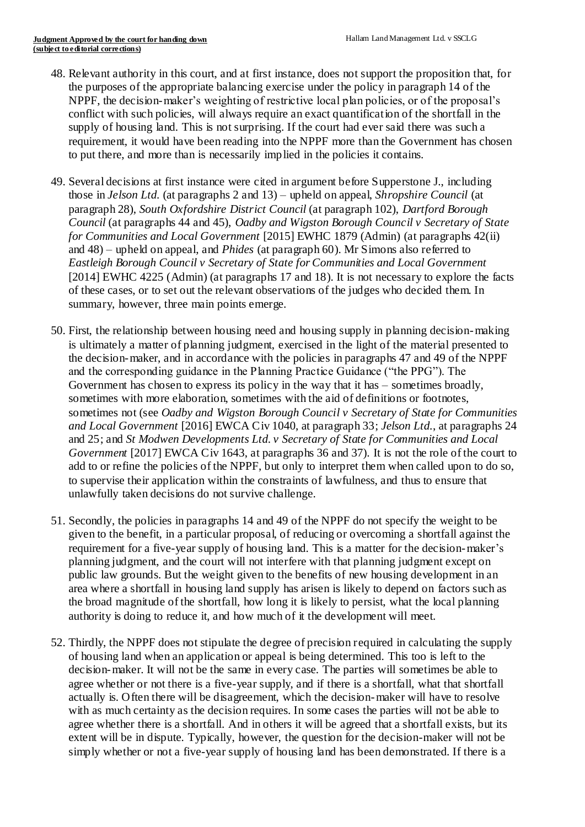- 48. Relevant authority in this court, and at first instance, does not support the proposition that, for the purposes of the appropriate balancing exercise under the policy in paragraph 14 of the NPPF, the decision-maker's weighting of restrictive local plan policies, or of the proposal's conflict with such policies, will always require an exact quantification of the shortfall in the supply of housing land. This is not surprising. If the court had ever said there was such a requirement, it would have been reading into the NPPF more than the Government has chosen to put there, and more than is necessarily implied in the policies it contains.
- 49. Several decisions at first instance were cited in argument before Supperstone J., including those in *Jelson Ltd.* (at paragraphs 2 and 13) – upheld on appeal, *Shropshire Council* (at paragraph 28), *South Oxfordshire District Council* (at paragraph 102), *Dartford Borough Council* (at paragraphs 44 and 45), *Oadby and Wigston Borough Council v Secretary of State for Communities and Local Government* [2015] EWHC 1879 (Admin) (at paragraphs 42(ii) and 48) – upheld on appeal, and *Phides* (at paragraph 60). Mr Simons also referred to *Eastleigh Borough Council v Secretary of State for Communities and Local Government*  [2014] EWHC 4225 (Admin) (at paragraphs 17 and 18). It is not necessary to explore the facts of these cases, or to set out the relevant observations of the judges who decided them. In summary, however, three main points emerge.
- 50. First, the relationship between housing need and housing supply in planning decision-making is ultimately a matter of planning judgment, exercised in the light of the material presented to the decision-maker, and in accordance with the policies in paragraphs 47 and 49 of the NPPF and the corresponding guidance in the Planning Practice Guidance ("the PPG"). The Government has chosen to express its policy in the way that it has – sometimes broadly, sometimes with more elaboration, sometimes with the aid of definitions or footnotes, sometimes not (see *Oadby and Wigston Borough Council v Secretary of State for Communities and Local Government* [2016] EWCA Civ 1040, at paragraph 33; *Jelson Ltd.*, at paragraphs 24 and 25; and *St Modwen Developments Ltd. v Secretary of State for Communities and Local Government* [2017] EWCA Civ 1643, at paragraphs 36 and 37). It is not the role of the court to add to or refine the policies of the NPPF, but only to interpret them when called upon to do so, to supervise their application within the constraints of lawfulness, and thus to ensure that unlawfully taken decisions do not survive challenge.
- 51. Secondly, the policies in paragraphs 14 and 49 of the NPPF do not specify the weight to be given to the benefit, in a particular proposal, of reducing or overcoming a shortfall against the requirement for a five-year supply of housing land. This is a matter for the decision-maker's planning judgment, and the court will not interfere with that planning judgment except on public law grounds. But the weight given to the benefits of new housing development in an area where a shortfall in housing land supply has arisen is likely to depend on factors such as the broad magnitude of the shortfall, how long it is likely to persist, what the local planning authority is doing to reduce it, and how much of it the development will meet.
- 52. Thirdly, the NPPF does not stipulate the degree of precision required in calculating the supply of housing land when an application or appeal is being determined. This too is left to the decision-maker. It will not be the same in every case. The parties will sometimes be able to agree whether or not there is a five-year supply, and if there is a shortfall, what that shortfall actually is. Often there will be disagreement, which the decision-maker will have to resolve with as much certainty as the decision requires. In some cases the parties will not be able to agree whether there is a shortfall. And in others it will be agreed that a shortfall exists, but its extent will be in dispute. Typically, however, the question for the decision-maker will not be simply whether or not a five-year supply of housing land has been demonstrated. If there is a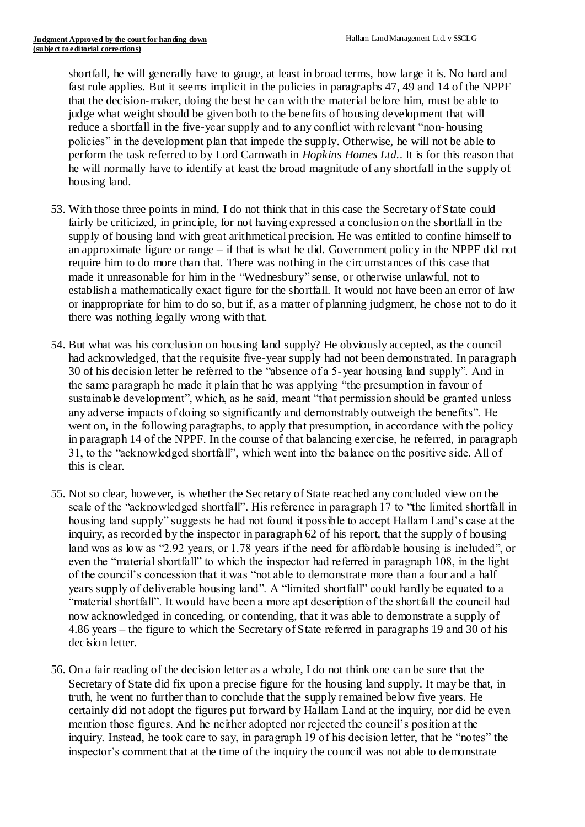shortfall, he will generally have to gauge, at least in broad terms, how large it is. No hard and fast rule applies. But it seems implicit in the policies in paragraphs 47, 49 and 14 of the NPPF that the decision-maker, doing the best he can with the material before him, must be able to judge what weight should be given both to the benefits of housing development that will reduce a shortfall in the five-year supply and to any conflict with relevant "non-housing policies" in the development plan that impede the supply. Otherwise, he will not be able to perform the task referred to by Lord Carnwath in *Hopkins Homes Ltd.*. It is for this reason that he will normally have to identify at least the broad magnitude of any shortfall in the supply of housing land.

- 53. With those three points in mind, I do not think that in this case the Secretary of State could fairly be criticized, in principle, for not having expressed a conclusion on the shortfall in the supply of housing land with great arithmetical precision. He was entitled to confine himself to an approximate figure or range – if that is what he did. Government policy in the NPPF did not require him to do more than that. There was nothing in the circumstances of this case that made it unreasonable for him in the "Wednesbury" sense, or otherwise unlawful, not to establish a mathematically exact figure for the shortfall. It would not have been an error of law or inappropriate for him to do so, but if, as a matter of planning judgment, he chose not to do it there was nothing legally wrong with that.
- 54. But what was his conclusion on housing land supply? He obviously accepted, as the council had acknowledged, that the requisite five-year supply had not been demonstrated. In paragraph 30 of his decision letter he referred to the "absence of a 5-year housing land supply". And in the same paragraph he made it plain that he was applying "the presumption in favour of sustainable development", which, as he said, meant "that permission should be granted unless any adverse impacts of doing so significantly and demonstrably outweigh the benefits". He went on, in the following paragraphs, to apply that presumption, in accordance with the policy in paragraph 14 of the NPPF. In the course of that balancing exercise, he referred, in paragraph 31, to the "acknowledged shortfall", which went into the balance on the positive side. All of this is clear.
- 55. Not so clear, however, is whether the Secretary of State reached any concluded view on the scale of the "acknowledged shortfall". His reference in paragraph 17 to "the limited shortfall in housing land supply" suggests he had not found it possible to accept Hallam Land's case at the inquiry, as recorded by the inspector in paragraph 62 of his report, that the supply of housing land was as low as "2.92 years, or 1.78 years if the need for affordable housing is included", or even the "material shortfall" to which the inspector had referred in paragraph 108, in the light of the council's concession that it was "not able to demonstrate more than a four and a half years supply of deliverable housing land". A "limited shortfall" could hardly be equated to a "material shortfall". It would have been a more apt description of the shortfall the council had now acknowledged in conceding, or contending, that it was able to demonstrate a supply of 4.86 years – the figure to which the Secretary of State referred in paragraphs 19 and 30 of his decision letter.
- 56. On a fair reading of the decision letter as a whole, I do not think one can be sure that the Secretary of State did fix upon a precise figure for the housing land supply. It may be that, in truth, he went no further than to conclude that the supply remained below five years. He certainly did not adopt the figures put forward by Hallam Land at the inquiry, nor did he even mention those figures. And he neither adopted nor rejected the council's position at the inquiry. Instead, he took care to say, in paragraph 19 of his decision letter, that he "notes" the inspector's comment that at the time of the inquiry the council was not able to demonstrate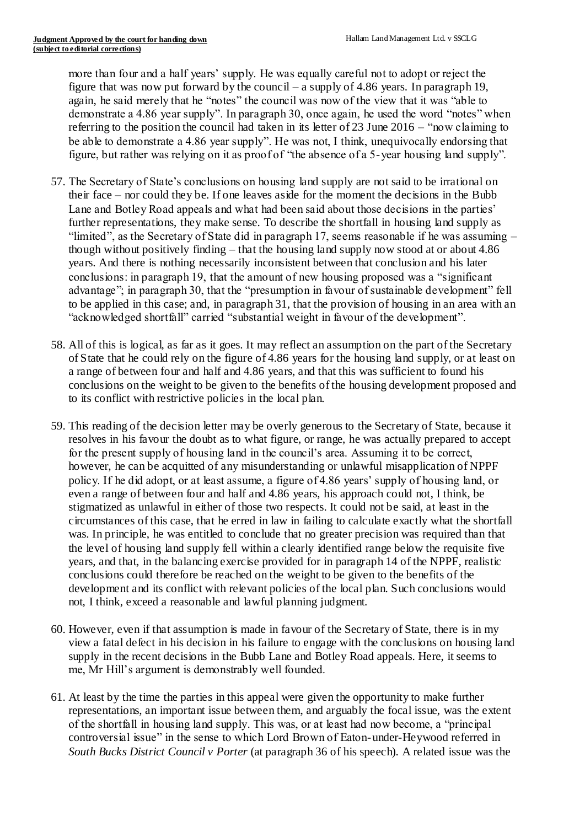more than four and a half years' supply. He was equally careful not to adopt or reject the figure that was now put forward by the council – a supply of 4.86 years. In paragraph 19, again, he said merely that he "notes" the council was now of the view that it was "able to demonstrate a 4.86 year supply". In paragraph 30, once again, he used the word "notes" when referring to the position the council had taken in its letter of 23 June 2016 – "now claiming to be able to demonstrate a 4.86 year supply". He was not, I think, unequivocally endorsing that figure, but rather was relying on it as proof of "the absence of a 5-year housing land supply".

- 57. The Secretary of State's conclusions on housing land supply are not said to be irrational on their face – nor could they be. If one leaves aside for the moment the decisions in the Bubb Lane and Botley Road appeals and what had been said about those decisions in the parties' further representations, they make sense. To describe the shortfall in housing land supply as "limited", as the Secretary of State did in paragraph 17, seems reasonable if he was assuming – though without positively finding – that the housing land supply now stood at or about 4.86 years. And there is nothing necessarily inconsistent between that conclusion and his later conclusions: in paragraph 19, that the amount of new housing proposed was a "significant advantage"; in paragraph 30, that the "presumption in favour of sustainable development" fell to be applied in this case; and, in paragraph 31, that the provision of housing in an area with an "acknowledged shortfall" carried "substantial weight in favour of the development".
- 58. All of this is logical, as far as it goes. It may reflect an assumption on the part of the Secretary of State that he could rely on the figure of 4.86 years for the housing land supply, or at least on a range of between four and half and 4.86 years, and that this was sufficient to found his conclusions on the weight to be given to the benefits of the housing development proposed and to its conflict with restrictive policies in the local plan.
- 59. This reading of the decision letter may be overly generous to the Secretary of State, because it resolves in his favour the doubt as to what figure, or range, he was actually prepared to accept for the present supply of housing land in the council's area. Assuming it to be correct, however, he can be acquitted of any misunderstanding or unlawful misapplication of NPPF policy. If he did adopt, or at least assume, a figure of 4.86 years' supply of housing land, or even a range of between four and half and 4.86 years, his approach could not, I think, be stigmatized as unlawful in either of those two respects. It could not be said, at least in the circumstances of this case, that he erred in law in failing to calculate exactly what the shortfall was. In principle, he was entitled to conclude that no greater precision was required than that the level of housing land supply fell within a clearly identified range below the requisite five years, and that, in the balancing exercise provided for in paragraph 14 of the NPPF, realistic conclusions could therefore be reached on the weight to be given to the benefits of the development and its conflict with relevant policies of the local plan. Such conclusions would not, I think, exceed a reasonable and lawful planning judgment.
- 60. However, even if that assumption is made in favour of the Secretary of State, there is in my view a fatal defect in his decision in his failure to engage with the conclusions on housing land supply in the recent decisions in the Bubb Lane and Botley Road appeals. Here, it seems to me, Mr Hill's argument is demonstrably well founded.
- 61. At least by the time the parties in this appeal were given the opportunity to make further representations, an important issue between them, and arguably the focal issue, was the extent of the shortfall in housing land supply. This was, or at least had now become, a "principal controversial issue" in the sense to which Lord Brown of Eaton-under-Heywood referred in *South Bucks District Council v Porter* (at paragraph 36 of his speech). A related issue was the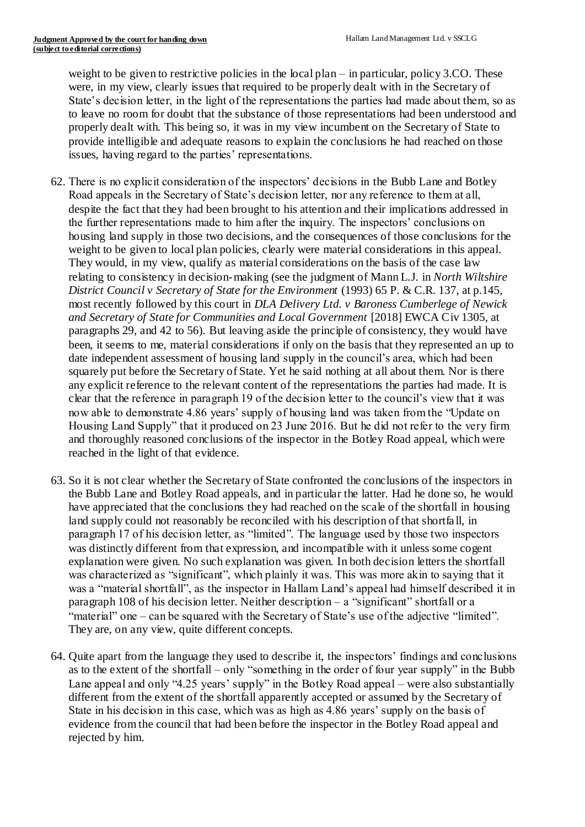weight to be given to restrictive policies in the local plan – in particular, policy 3.CO. These were, in my view, clearly issues that required to be properly dealt with in the Secretary of State's decision letter, in the light of the representations the parties had made about them, so as to leave no room for doubt that the substance of those representations had been understood and properly dealt with. This being so, it was in my view incumbent on the Secretary of State to provide intelligible and adequate reasons to explain the conclusions he had reached on those issues, having regard to the parties' representations.

- 62. There is no explicit consideration of the inspectors' decisions in the Bubb Lane and Botley Road appeals in the Secretary of State's decision letter, nor any reference to them at all, despite the fact that they had been brought to his attention and their implications addressed in the further representations made to him after the inquiry. The inspectors' conclusions on housing land supply in those two decisions, and the consequences of those conclusions for the weight to be given to local plan policies, clearly were material considerations in this appeal. They would, in my view, qualify as material considerations on the basis of the case law relating to consistency in decision-making (see the judgment of Mann L.J. in *North Wiltshire District Council v Secretary of State for the Environment* (1993) 65 P. & C.R. 137, at p.145, most recently followed by this court in *DLA Delivery Ltd. v Baroness Cumberlege of Newick and Secretary of State for Communities and Local Government* [2018] EWCA Civ 1305, at paragraphs 29, and 42 to 56). But leaving aside the principle of consistency, they would have been, it seems to me, material considerations if only on the basis that they represented an up to date independent assessment of housing land supply in the council's area, which had been squarely put before the Secretary of State. Yet he said nothing at all about them. Nor is there any explicit reference to the relevant content of the representations the parties had made. It is clear that the reference in paragraph 19 of the decision letter to the council's view that it was now able to demonstrate 4.86 years' supply of housing land was taken from the "Update on Housing Land Supply" that it produced on 23 June 2016. But he did not refer to the very firm and thoroughly reasoned conclusions of the inspector in the Botley Road appeal, which were reached in the light of that evidence.
- 63. So it is not clear whether the Secretary of State confronted the conclusions of the inspectors in the Bubb Lane and Botley Road appeals, and in particular the latter. Had he done so, he would have appreciated that the conclusions they had reached on the scale of the shortfall in housing land supply could not reasonably be reconciled with his description of that shortfall, in paragraph 17 of his decision letter, as "limited". The language used by those two inspectors was distinctly different from that expression, and incompatible with it unless some cogent explanation were given. No such explanation was given. In both decision letters the shortfall was characterized as "significant", which plainly it was. This was more akin to saying that it was a "material shortfall", as the inspector in Hallam Land's appeal had himself described it in paragraph 108 of his decision letter. Neither description  $-$  a "significant" shortfall or a "material" one – can be squared with the Secretary of State's use of the adjective "limited". They are, on any view, quite different concepts.
- 64. Quite apart from the language they used to describe it, the inspectors' findings and conclusions as to the extent of the shortfall – only "something in the order of four year supply" in the Bubb Lane appeal and only "4.25 years' supply" in the Botley Road appeal – were also substantially different from the extent of the shortfall apparently accepted or assumed by the Secretary of State in his decision in this case, which was as high as 4.86 years' supply on the basis of evidence from the council that had been before the inspector in the Botley Road appeal and rejected by him.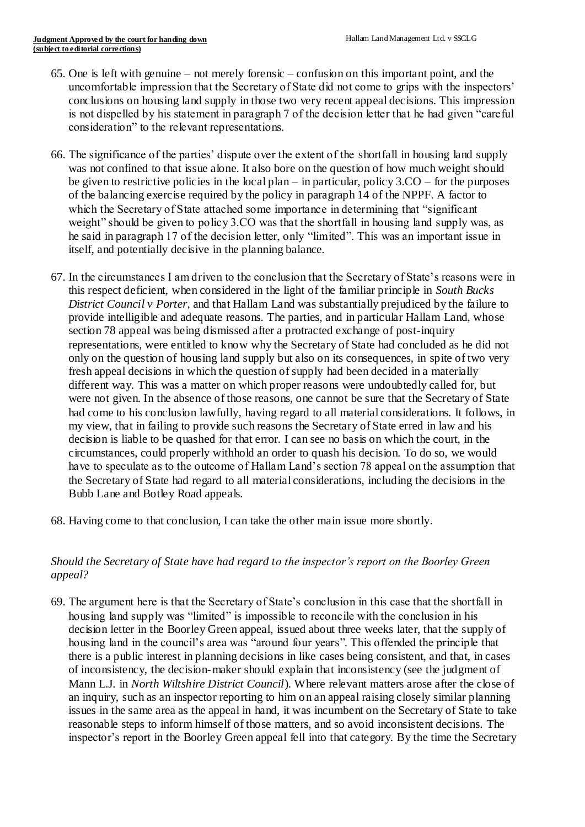- 65. One is left with genuine not merely forensic confusion on this important point, and the uncomfortable impression that the Secretary of State did not come to grips with the inspectors' conclusions on housing land supply in those two very recent appeal decisions. This impression is not dispelled by his statement in paragraph 7 of the decision letter that he had given "careful consideration" to the relevant representations.
- 66. The significance of the parties' dispute over the extent of the shortfall in housing land supply was not confined to that issue alone. It also bore on the question of how much weight should be given to restrictive policies in the local plan – in particular, policy  $3.CO$  – for the purposes of the balancing exercise required by the policy in paragraph 14 of the NPPF. A factor to which the Secretary of State attached some importance in determining that "significant weight" should be given to policy 3.CO was that the shortfall in housing land supply was, as he said in paragraph 17 of the decision letter, only "limited". This was an important issue in itself, and potentially decisive in the planning balance.
- 67. In the circumstances I am driven to the conclusion that the Secretary of State's reasons were in this respect deficient, when considered in the light of the familiar principle in *South Bucks District Council v Porter*, and that Hallam Land was substantially prejudiced by the failure to provide intelligible and adequate reasons. The parties, and in particular Hallam Land, whose section 78 appeal was being dismissed after a protracted exchange of post-inquiry representations, were entitled to know why the Secretary of State had concluded as he did not only on the question of housing land supply but also on its consequences, in spite of two very fresh appeal decisions in which the question of supply had been decided in a materially different way. This was a matter on which proper reasons were undoubtedly called for, but were not given. In the absence of those reasons, one cannot be sure that the Secretary of State had come to his conclusion lawfully, having regard to all material considerations. It follows, in my view, that in failing to provide such reasons the Secretary of State erred in law and his decision is liable to be quashed for that error. I can see no basis on which the court, in the circumstances, could properly withhold an order to quash his decision. To do so, we would have to speculate as to the outcome of Hallam Land's section 78 appeal on the assumption that the Secretary of State had regard to all material considerations, including the decisions in the Bubb Lane and Botley Road appeals.
- 68. Having come to that conclusion, I can take the other main issue more shortly.

# *Should the Secretary of State have had regard to the inspector's report on the Boorley Green appeal?*

69. The argument here is that the Secretary of State's conclusion in this case that the shortfall in housing land supply was "limited" is impossible to reconcile with the conclusion in his decision letter in the Boorley Green appeal, issued about three weeks later, that the supply of housing land in the council's area was "around four years". This offended the principle that there is a public interest in planning decisions in like cases being consistent, and that, in cases of inconsistency, the decision-maker should explain that inconsistency (see the judgment of Mann L.J. in *North Wiltshire District Council*). Where relevant matters arose after the close of an inquiry, such as an inspector reporting to him on an appeal raising closely similar planning issues in the same area as the appeal in hand, it was incumbent on the Secretary of State to take reasonable steps to inform himself of those matters, and so avoid inconsistent decisions. The inspector's report in the Boorley Green appeal fell into that category. By the time the Secretary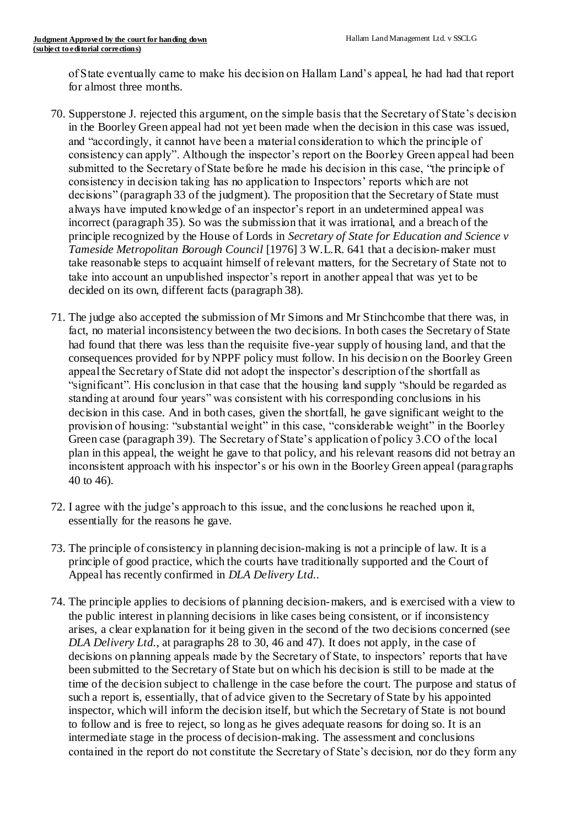of State eventually came to make his decision on Hallam Land's appeal, he had had that report for almost three months.

- 70. Supperstone J. rejected this argument, on the simple basis that the Secretary of State's decision in the Boorley Green appeal had not yet been made when the decision in this case was issued, and "accordingly, it cannot have been a material consideration to which the principle of consistency can apply". Although the inspector's report on the Boorley Green appeal had been submitted to the Secretary of State before he made his decision in this case, "the principle of consistency in decision taking has no application to Inspectors' reports which are not decisions" (paragraph 33 of the judgment). The proposition that the Secretary of State must always have imputed knowledge of an inspector's report in an undetermined appeal was incorrect (paragraph 35). So was the submission that it was irrational, and a breach of the principle recognized by the House of Lords in *Secretary of State for Education and Science v Tameside Metropolitan Borough Council* [1976] 3 W.L.R. 641 that a decision-maker must take reasonable steps to acquaint himself of relevant matters, for the Secretary of State not to take into account an unpublished inspector's report in another appeal that was yet to be decided on its own, different facts (paragraph 38).
- 71. The judge also accepted the submission of Mr Simons and Mr Stinchcombe that there was, in fact, no material inconsistency between the two decisions. In both cases the Secretary of State had found that there was less than the requisite five-year supply of housing land, and that the consequences provided for by NPPF policy must follow. In his decision on the Boorley Green appeal the Secretary of State did not adopt the inspector's description of the shortfall as "significant". His conclusion in that case that the housing land supply "should be regarded as standing at around four years" was consistent with his corresponding conclusions in his decision in this case. And in both cases, given the shortfall, he gave significant weight to the provision of housing: "substantial weight" in this case, "considerable weight" in the Boorley Green case (paragraph 39). The Secretary of State's application of policy 3.CO of the local plan in this appeal, the weight he gave to that policy, and his relevant reasons did not betray an inconsistent approach with his inspector's or his own in the Boorley Green appeal (paragraphs 40 to 46).
- 72. I agree with the judge's approach to this issue, and the conclusions he reached upon it, essentially for the reasons he gave.
- 73. The principle of consistency in planning decision-making is not a principle of law. It is a principle of good practice, which the courts have traditionally supported and the Court of Appeal has recently confirmed in *DLA Delivery Ltd.*.
- 74. The principle applies to decisions of planning decision-makers, and is exercised with a view to the public interest in planning decisions in like cases being consistent, or if inconsistency arises, a clear explanation for it being given in the second of the two decisions concerned (see *DLA Delivery Ltd.*, at paragraphs 28 to 30, 46 and 47). It does not apply, in the case of decisions on planning appeals made by the Secretary of State, to inspectors' reports that have been submitted to the Secretary of State but on which his decision is still to be made at the time of the decision subject to challenge in the case before the court. The purpose and status of such a report is, essentially, that of advice given to the Secretary of State by his appointed inspector, which will inform the decision itself, but which the Secretary of State is not bound to follow and is free to reject, so long as he gives adequate reasons for doing so. It is an intermediate stage in the process of decision-making. The assessment and conclusions contained in the report do not constitute the Secretary of State's decision, nor do they form any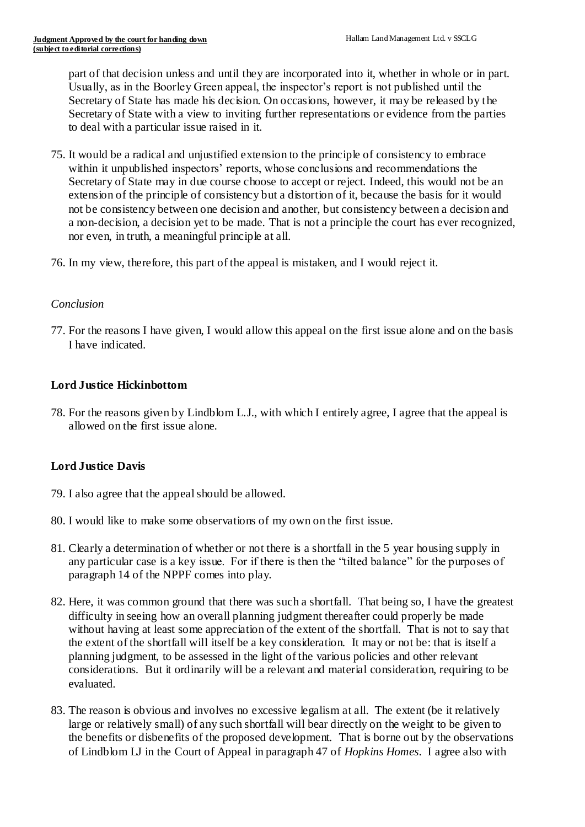part of that decision unless and until they are incorporated into it, whether in whole or in part. Usually, as in the Boorley Green appeal, the inspector's report is not published until the Secretary of State has made his decision. On occasions, however, it may be released by the Secretary of State with a view to inviting further representations or evidence from the parties to deal with a particular issue raised in it.

- 75. It would be a radical and unjustified extension to the principle of consistency to embrace within it unpublished inspectors' reports, whose conclusions and recommendations the Secretary of State may in due course choose to accept or reject. Indeed, this would not be an extension of the principle of consistency but a distortion of it, because the basis for it would not be consistency between one decision and another, but consistency between a decision and a non-decision, a decision yet to be made. That is not a principle the court has ever recognized, nor even, in truth, a meaningful principle at all.
- 76. In my view, therefore, this part of the appeal is mistaken, and I would reject it.

#### *Conclusion*

77. For the reasons I have given, I would allow this appeal on the first issue alone and on the basis I have indicated.

#### **Lord Justice Hickinbottom**

78. For the reasons given by Lindblom L.J., with which I entirely agree, I agree that the appeal is allowed on the first issue alone.

## **Lord Justice Davis**

- 79. I also agree that the appeal should be allowed.
- 80. I would like to make some observations of my own on the first issue.
- 81. Clearly a determination of whether or not there is a shortfall in the 5 year housing supply in any particular case is a key issue. For if there is then the "tilted balance" for the purposes of paragraph 14 of the NPPF comes into play.
- 82. Here, it was common ground that there was such a shortfall. That being so, I have the greatest difficulty in seeing how an overall planning judgment thereafter could properly be made without having at least some appreciation of the extent of the shortfall. That is not to say that the extent of the shortfall will itself be a key consideration. It may or not be: that is itself a planning judgment, to be assessed in the light of the various policies and other relevant considerations. But it ordinarily will be a relevant and material consideration, requiring to be evaluated.
- 83. The reason is obvious and involves no excessive legalism at all. The extent (be it relatively large or relatively small) of any such shortfall will bear directly on the weight to be given to the benefits or disbenefits of the proposed development. That is borne out by the observations of Lindblom LJ in the Court of Appeal in paragraph 47 of *Hopkins Homes*. I agree also with